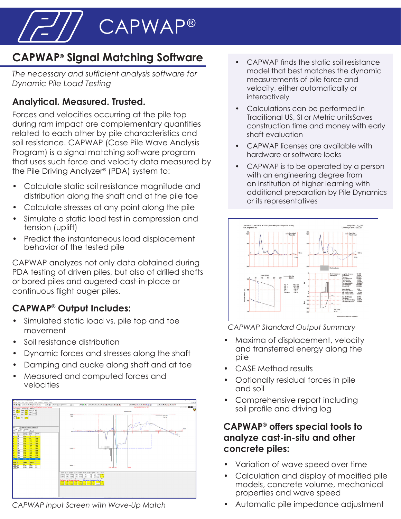CAPWAP®

# **CAPWAP® Signal Matching Software**

*The necessary and sufficient analysis software for Dynamic Pile Load Testing*

## **Analytical. Measured. Trusted.**

Forces and velocities occurring at the pile top during ram impact are complementary quantities related to each other by pile characteristics and soil resistance. CAPWAP (Case Pile Wave Analysis Program) is a signal matching software program that uses such force and velocity data measured by the Pile Driving Analyzer® (PDA) system to:

- Calculate static soil resistance magnitude and distribution along the shaft and at the pile toe
- Calculate stresses at any point along the pile
- Simulate a static load test in compression and tension (uplift)
- Predict the instantaneous load displacement behavior of the tested pile

CAPWAP analyzes not only data obtained during PDA testing of driven piles, but also of drilled shafts or bored piles and augered-cast-in-place or continuous flight auger piles.

## **CAPWAP® Output Includes:**

- Simulated static load vs. pile top and toe movement
- Soil resistance distribution
- Dynamic forces and stresses along the shaft
- Damping and quake along shaft and at toe
- Measured and computed forces and velocities



*CAPWAP Input Screen with Wave-Up Match*

- CAPWAP finds the static soil resistance model that best matches the dynamic measurements of pile force and velocity, either automatically or interactively
- Calculations can be performed in Traditional US, SI or Metric unitsSaves construction time and money with early shaft evaluation
- CAPWAP licenses are available with hardware or software locks
- CAPWAP is to be operated by a person with an engineering degree from an institution of higher learning with additional preparation by Pile Dynamics or its representatives



*CAPWAP Standard Output Summary*

- Maxima of displacement, velocity and transferred energy along the pile
- CASE Method results
- Optionally residual forces in pile and soil
- Comprehensive report including soil profile and driving log

#### **CAPWAP® offers special tools to analyze cast-in-situ and other concrete piles:**

- Variation of wave speed over time
- Calculation and display of modified pile models, concrete volume, mechanical properties and wave speed
- Automatic pile impedance adjustment